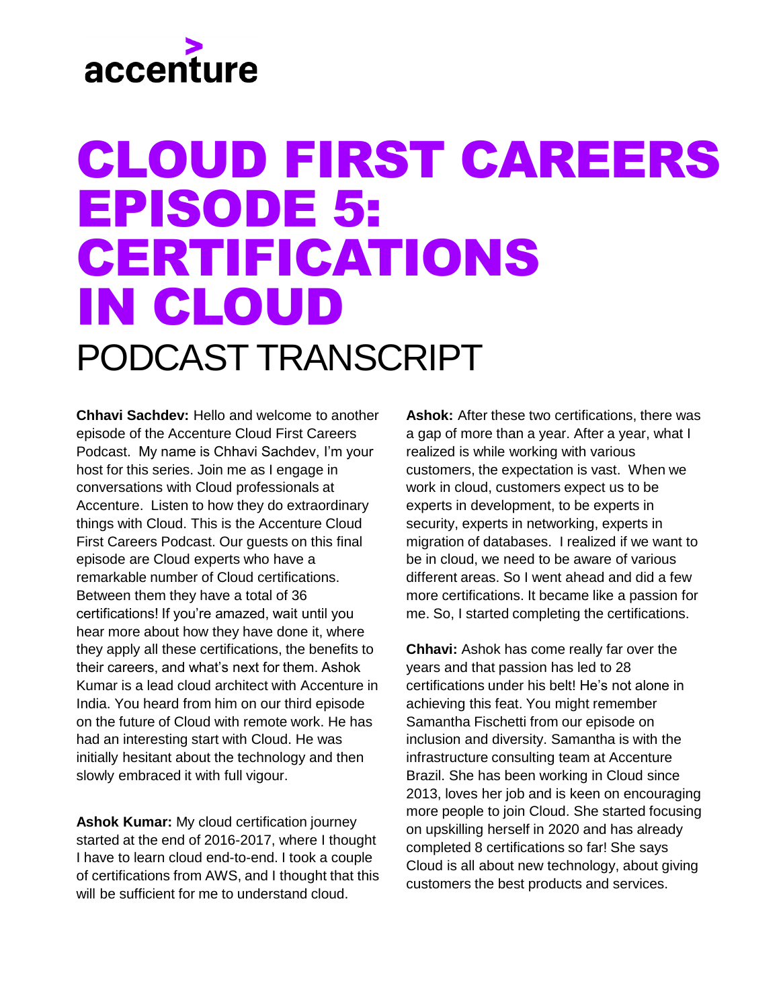## accenture

## CLOUD FIRST CAREERS EPISODE 5: CERTIFICATIONS IN CLOUD PODCAST TRANSCRIPT

**Chhavi Sachdev:** Hello and welcome to another episode of the Accenture Cloud First Careers Podcast. My name is Chhavi Sachdev, I'm your host for this series. Join me as I engage in conversations with Cloud professionals at Accenture. Listen to how they do extraordinary things with Cloud. This is the Accenture Cloud First Careers Podcast. Our guests on this final episode are Cloud experts who have a remarkable number of Cloud certifications. Between them they have a total of 36 certifications! If you're amazed, wait until you hear more about how they have done it, where they apply all these certifications, the benefits to their careers, and what's next for them. Ashok Kumar is a lead cloud architect with Accenture in India. You heard from him on our third episode on the future of Cloud with remote work. He has had an interesting start with Cloud. He was initially hesitant about the technology and then slowly embraced it with full vigour.

**Ashok Kumar:** My cloud certification journey started at the end of 2016-2017, where I thought I have to learn cloud end-to-end. I took a couple of certifications from AWS, and I thought that this will be sufficient for me to understand cloud.

**Ashok:** After these two certifications, there was a gap of more than a year. After a year, what I realized is while working with various customers, the expectation is vast. When we work in cloud, customers expect us to be experts in development, to be experts in security, experts in networking, experts in migration of databases. I realized if we want to be in cloud, we need to be aware of various different areas. So I went ahead and did a few more certifications. It became like a passion for me. So, I started completing the certifications.

**Chhavi:** Ashok has come really far over the years and that passion has led to 28 certifications under his belt! He's not alone in achieving this feat. You might remember Samantha Fischetti from our episode on inclusion and diversity. Samantha is with the infrastructure consulting team at Accenture Brazil. She has been working in Cloud since 2013, loves her job and is keen on encouraging more people to join Cloud. She started focusing on upskilling herself in 2020 and has already completed 8 certifications so far! She says Cloud is all about new technology, about giving customers the best products and services.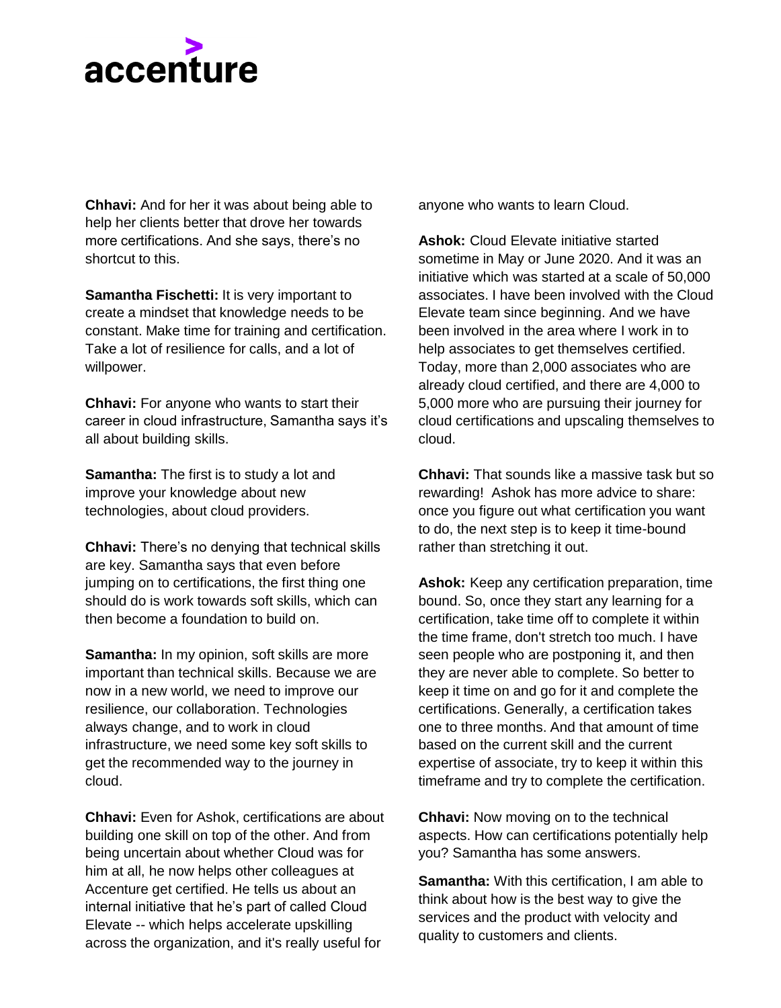## accenture

**Chhavi:** And for her it was about being able to help her clients better that drove her towards more certifications. And she says, there's no shortcut to this.

**Samantha Fischetti:** It is very important to create a mindset that knowledge needs to be constant. Make time for training and certification. Take a lot of resilience for calls, and a lot of willpower.

**Chhavi:** For anyone who wants to start their career in cloud infrastructure, Samantha says it's all about building skills.

**Samantha:** The first is to study a lot and improve your knowledge about new technologies, about cloud providers.

**Chhavi:** There's no denying that technical skills are key. Samantha says that even before jumping on to certifications, the first thing one should do is work towards soft skills, which can then become a foundation to build on.

**Samantha:** In my opinion, soft skills are more important than technical skills. Because we are now in a new world, we need to improve our resilience, our collaboration. Technologies always change, and to work in cloud infrastructure, we need some key soft skills to get the recommended way to the journey in cloud.

**Chhavi:** Even for Ashok, certifications are about building one skill on top of the other. And from being uncertain about whether Cloud was for him at all, he now helps other colleagues at Accenture get certified. He tells us about an internal initiative that he's part of called Cloud Elevate -- which helps accelerate upskilling across the organization, and it's really useful for

anyone who wants to learn Cloud.

**Ashok:** Cloud Elevate initiative started sometime in May or June 2020. And it was an initiative which was started at a scale of 50,000 associates. I have been involved with the Cloud Elevate team since beginning. And we have been involved in the area where I work in to help associates to get themselves certified. Today, more than 2,000 associates who are already cloud certified, and there are 4,000 to 5,000 more who are pursuing their journey for cloud certifications and upscaling themselves to cloud.

**Chhavi:** That sounds like a massive task but so rewarding! Ashok has more advice to share: once you figure out what certification you want to do, the next step is to keep it time-bound rather than stretching it out.

**Ashok:** Keep any certification preparation, time bound. So, once they start any learning for a certification, take time off to complete it within the time frame, don't stretch too much. I have seen people who are postponing it, and then they are never able to complete. So better to keep it time on and go for it and complete the certifications. Generally, a certification takes one to three months. And that amount of time based on the current skill and the current expertise of associate, try to keep it within this timeframe and try to complete the certification.

**Chhavi:** Now moving on to the technical aspects. How can certifications potentially help you? Samantha has some answers.

**Samantha:** With this certification, I am able to think about how is the best way to give the services and the product with velocity and quality to customers and clients.